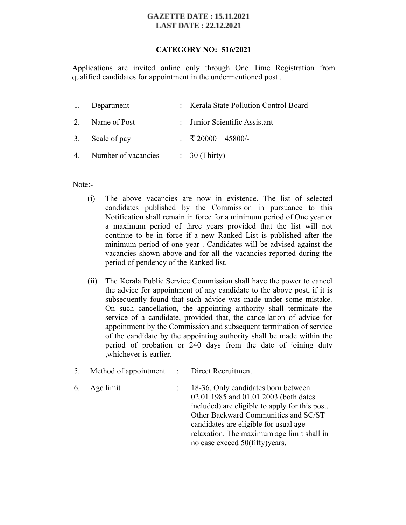#### **GAZETTE DATE: 15.11.2021 LAST DATE: 22.12.2021**

## **CATEGORY NO: 516/2021**

Applications are invited online only through One Time Registration from qualified candidates for appointment in the undermentioned post .

| 1. Department          | : Kerala State Pollution Control Board |
|------------------------|----------------------------------------|
| 2. Name of Post        | : Junior Scientific Assistant          |
| 3. Scale of pay        | : ₹ 20000 - 45800/-                    |
| 4. Number of vacancies | $\therefore$ 30 (Thirty)               |

## Note:-

- (i) The above vacancies are now in existence. The list of selected candidates published by the Commission in pursuance to this Notification shall remain in force for a minimum period of One year or a maximum period of three years provided that the list will not continue to be in force if a new Ranked List is published after the minimum period of one year . Candidates will be advised against the vacancies shown above and for all the vacancies reported during the period of pendency of the Ranked list.
- (ii) The Kerala Public Service Commission shall have the power to cancel the advice for appointment of any candidate to the above post, if it is subsequently found that such advice was made under some mistake. On such cancellation, the appointing authority shall terminate the service of a candidate, provided that, the cancellation of advice for appointment by the Commission and subsequent termination of service of the candidate by the appointing authority shall be made within the period of probation or 240 days from the date of joining duty ,whichever is earlier.

| 5. | Method of appointment |  | Direct Recruitment |
|----|-----------------------|--|--------------------|
|----|-----------------------|--|--------------------|

6. Age limit : 18-36. Only candidates born between 02.01.1985 and 01.01.2003 (both dates included) are eligible to apply for this post. Other Backward Communities and SC/ST candidates are eligible for usual age relaxation. The maximum age limit shall in no case exceed 50(fifty)years.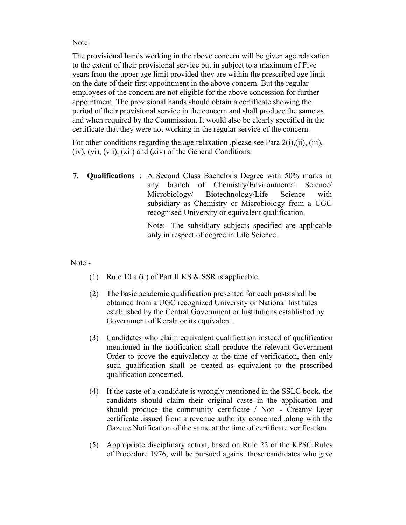Note:

The provisional hands working in the above concern will be given age relaxation to the extent of their provisional service put in subject to a maximum of Five years from the upper age limit provided they are within the prescribed age limit on the date of their first appointment in the above concern. But the regular employees of the concern are not eligible for the above concession for further appointment. The provisional hands should obtain a certificate showing the period of their provisional service in the concern and shall produce the same as and when required by the Commission. It would also be clearly specified in the certificate that they were not working in the regular service of the concern.

For other conditions regarding the age relaxation , please see Para 2(i), (ii), (iii), (iv), (vi), (vii), (xii) and (xiv) of the General Conditions.

**7. Qualifications** : A Second Class Bachelor's Degree with 50% marks in any branch of Chemistry/Environmental Science/ Microbiology/ Biotechnology/Life Science with subsidiary as Chemistry or Microbiology from a UGC recognised University or equivalent qualification.

> Note:- The subsidiary subjects specified are applicable only in respect of degree in Life Science.

Note:-

- (1) Rule 10 a (ii) of Part II KS & SSR is applicable.
- (2) The basic academic qualification presented for each posts shall be obtained from a UGC recognized University or National Institutes established by the Central Government or Institutions established by Government of Kerala or its equivalent.
- (3) Candidates who claim equivalent qualification instead of qualification mentioned in the notification shall produce the relevant Government Order to prove the equivalency at the time of verification, then only such qualification shall be treated as equivalent to the prescribed qualification concerned.
- (4) If the caste of a candidate is wrongly mentioned in the SSLC book, the candidate should claim their original caste in the application and should produce the community certificate / Non - Creamy layer certificate ,issued from a revenue authority concerned ,along with the Gazette Notification of the same at the time of certificate verification.
- (5) Appropriate disciplinary action, based on Rule 22 of the KPSC Rules of Procedure 1976, will be pursued against those candidates who give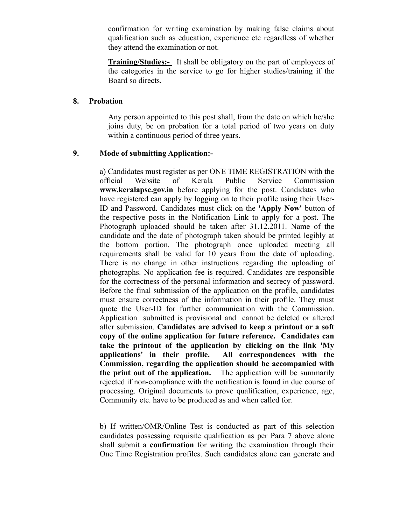confirmation for writing examination by making false claims about qualification such as education, experience etc regardless of whether they attend the examination or not.

**Training/Studies:-** It shall be obligatory on the part of employees of the categories in the service to go for higher studies/training if the Board so directs.

#### **8. Probation**

Any person appointed to this post shall, from the date on which he/she joins duty, be on probation for a total period of two years on duty within a continuous period of three years.

## **9. Mode of submitting Application:-**

a) Candidates must register as per ONE TIME REGISTRATION with the official Website of Kerala Public Service Commission **www.keralapsc.gov.in** before applying for the post. Candidates who have registered can apply by logging on to their profile using their User-ID and Password. Candidates must click on the **'Apply Now'** button of the respective posts in the Notification Link to apply for a post. The Photograph uploaded should be taken after 31.12.2011. Name of the candidate and the date of photograph taken should be printed legibly at the bottom portion. The photograph once uploaded meeting all requirements shall be valid for 10 years from the date of uploading. There is no change in other instructions regarding the uploading of photographs. No application fee is required. Candidates are responsible for the correctness of the personal information and secrecy of password. Before the final submission of the application on the profile, candidates must ensure correctness of the information in their profile. They must quote the User-ID for further communication with the Commission. Application submitted is provisional and cannot be deleted or altered after submission. **Candidates are advised to keep a printout or a soft copy of the online application for future reference. Candidates can take the printout of the application by clicking on the link 'My applications' in their profile. All correspondences with the Commission, regarding the application should be accompanied with the print out of the application.** The application will be summarily rejected if non-compliance with the notification is found in due course of processing. Original documents to prove qualification, experience, age, Community etc. have to be produced as and when called for.

b) If written/OMR/Online Test is conducted as part of this selection candidates possessing requisite qualification as per Para 7 above alone shall submit a **confirmation** for writing the examination through their One Time Registration profiles. Such candidates alone can generate and